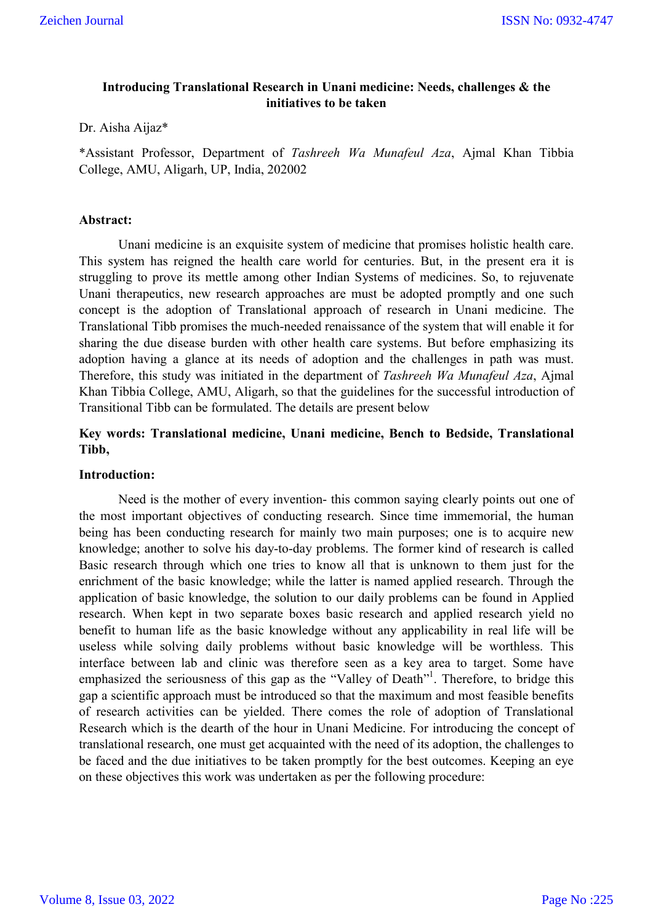# **Introducing Translational Research in Unani medicine: Needs, challenges & the initiatives to be taken**

#### Dr. Aisha Aijaz\*

\*Assistant Professor, Department of *Tashreeh Wa Munafeul Aza*, Ajmal Khan Tibbia College, AMU, Aligarh, UP, India, 202002

#### **Abstract:**

Unani medicine is an exquisite system of medicine that promises holistic health care. This system has reigned the health care world for centuries. But, in the present era it is struggling to prove its mettle among other Indian Systems of medicines. So, to rejuvenate Unani therapeutics, new research approaches are must be adopted promptly and one such concept is the adoption of Translational approach of research in Unani medicine. The Translational Tibb promises the much-needed renaissance of the system that will enable it for sharing the due disease burden with other health care systems. But before emphasizing its adoption having a glance at its needs of adoption and the challenges in path was must. Therefore, this study was initiated in the department of *Tashreeh Wa Munafeul Aza*, Ajmal Khan Tibbia College, AMU, Aligarh, so that the guidelines for the successful introduction of Transitional Tibb can be formulated. The details are present below

# **Key words: Translational medicine, Unani medicine, Bench to Bedside, Translational Tibb,**

## **Introduction:**

Need is the mother of every invention- this common saying clearly points out one of the most important objectives of conducting research. Since time immemorial, the human being has been conducting research for mainly two main purposes; one is to acquire new knowledge; another to solve his day-to-day problems. The former kind of research is called Basic research through which one tries to know all that is unknown to them just for the enrichment of the basic knowledge; while the latter is named applied research. Through the application of basic knowledge, the solution to our daily problems can be found in Applied research. When kept in two separate boxes basic research and applied research yield no benefit to human life as the basic knowledge without any applicability in real life will be useless while solving daily problems without basic knowledge will be worthless. This interface between lab and clinic was therefore seen as a key area to target. Some have emphasized the seriousness of this gap as the "Valley of Death"<sup>1</sup>. Therefore, to bridge this gap a scientific approach must be introduced so that the maximum and most feasible benefits of research activities can be yielded. There comes the role of adoption of Translational Research which is the dearth of the hour in Unani Medicine. For introducing the concept of translational research, one must get acquainted with the need of its adoption, the challenges to be faced and the due initiatives to be taken promptly for the best outcomes. Keeping an eye on these objectives this work was undertaken as per the following procedure: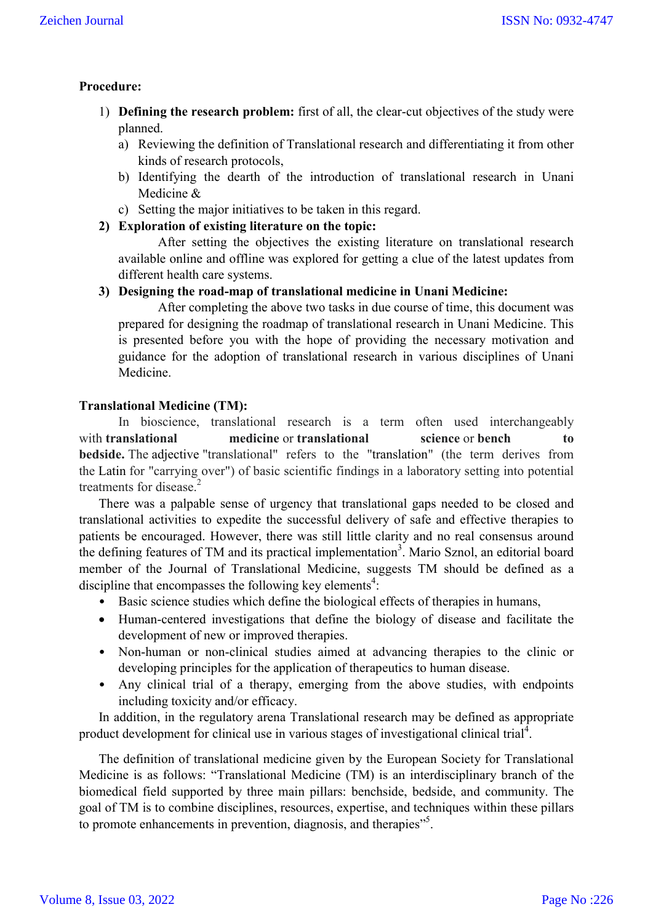## **Procedure:**

- 1) **Defining the research problem:** first of all, the clear-cut objectives of the study were planned.
	- a) Reviewing the definition of Translational research and differentiating it from other kinds of research protocols,
	- b) Identifying the dearth of the introduction of translational research in Unani Medicine &
	- c) Setting the major initiatives to be taken in this regard.
- **2) Exploration of existing literature on the topic:**

After setting the objectives the existing literature on translational research available online and offline was explored for getting a clue of the latest updates from different health care systems.

**3) Designing the road-map of translational medicine in Unani Medicine:**

After completing the above two tasks in due course of time, this document was prepared for designing the roadmap of translational research in Unani Medicine. This is presented before you with the hope of providing the necessary motivation and guidance for the adoption of translational research in various disciplines of Unani Medicine.

## **Translational Medicine (TM):**

In bioscience, translational research is a term often used interchangeably with **translational medicine** or **translational science** or **bench to bedside.** The adjective "translational" refers to the "translation" (the term derives from the Latin for "carrying over") of basic scientific findings in a laboratory setting into potential treatments for disease.<sup>2</sup>

There was a palpable sense of urgency that translational gaps needed to be closed and translational activities to expedite the successful delivery of safe and effective therapies to patients be encouraged. However, there was still little clarity and no real consensus around the defining features of TM and its practical implementation<sup>3</sup>. Mario Sznol, an editorial board member of the Journal of Translational Medicine, suggests TM should be defined as a discipline that encompasses the following key elements<sup>4</sup>:

- Basic science studies which define the biological effects of therapies in humans,
- Human-centered investigations that define the biology of disease and facilitate the development of new or improved therapies.
- Non-human or non-clinical studies aimed at advancing therapies to the clinic or developing principles for the application of therapeutics to human disease.
- Any clinical trial of a therapy, emerging from the above studies, with endpoints including toxicity and/or efficacy.

In addition, in the regulatory arena Translational research may be defined as appropriate product development for clinical use in various stages of investigational clinical trial<sup>4</sup>.

The definition of translational medicine given by the European Society for Translational Medicine is as follows: "Translational Medicine (TM) is an interdisciplinary branch of the biomedical field supported by three main pillars: benchside, bedside, and community. The goal of TM is to combine disciplines, resources, expertise, and techniques within these pillars to promote enhancements in prevention, diagnosis, and therapies"<sup>5</sup>.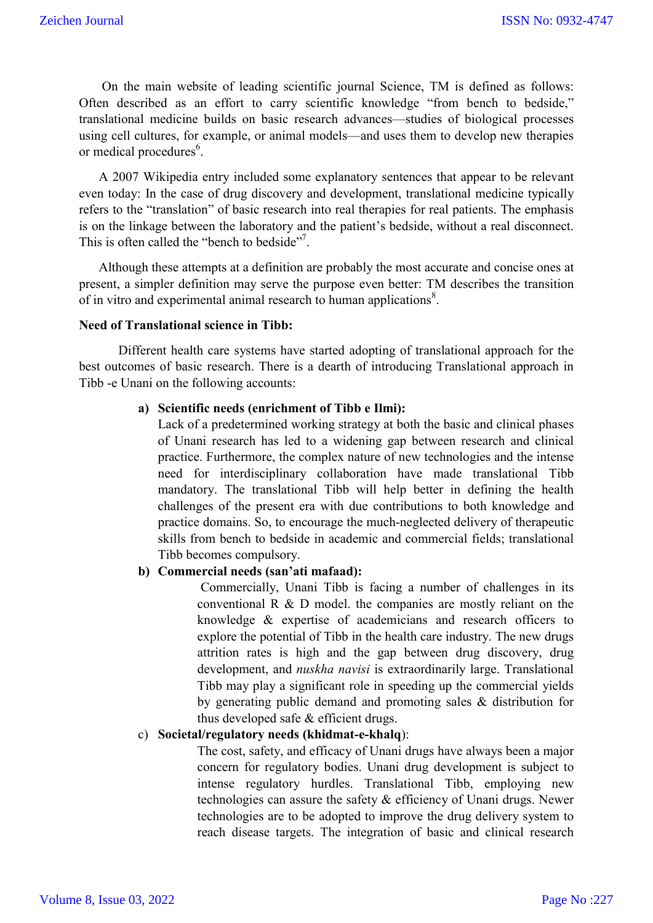On the main website of leading scientific journal Science, TM is defined as follows: Often described as an effort to carry scientific knowledge "from bench to bedside," translational medicine builds on basic research advances—studies of biological processes using cell cultures, for example, or animal models—and uses them to develop new therapies or medical procedures<sup>6</sup>.

A 2007 Wikipedia entry included some explanatory sentences that appear to be relevant even today: In the case of drug discovery and development, translational medicine typically refers to the "translation" of basic research into real therapies for real patients. The emphasis is on the linkage between the laboratory and the patient's bedside, without a real disconnect. This is often called the "bench to bedside"<sup>7</sup>.

Although these attempts at a definition are probably the most accurate and concise ones at present, a simpler definition may serve the purpose even better: TM describes the transition of in vitro and experimental animal research to human applications $8$ .

#### **Need of Translational science in Tibb:**

Different health care systems have started adopting of translational approach for the best outcomes of basic research. There is a dearth of introducing Translational approach in Tibb -e Unani on the following accounts:

#### **a) Scientific needs (enrichment of Tibb e Ilmi):**

Lack of a predetermined working strategy at both the basic and clinical phases of Unani research has led to a widening gap between research and clinical practice. Furthermore, the complex nature of new technologies and the intense need for interdisciplinary collaboration have made translational Tibb mandatory. The translational Tibb will help better in defining the health challenges of the present era with due contributions to both knowledge and practice domains. So, to encourage the much-neglected delivery of therapeutic skills from bench to bedside in academic and commercial fields; translational Tibb becomes compulsory.

## **b) Commercial needs (san'ati mafaad):**

Commercially, Unani Tibb is facing a number of challenges in its conventional R & D model. the companies are mostly reliant on the knowledge & expertise of academicians and research officers to explore the potential of Tibb in the health care industry. The new drugs attrition rates is high and the gap between drug discovery, drug development, and *nuskha navisi* is extraordinarily large. Translational Tibb may play a significant role in speeding up the commercial yields by generating public demand and promoting sales & distribution for thus developed safe & efficient drugs.

### c) **Societal/regulatory needs (khidmat-e-khalq**):

The cost, safety, and efficacy of Unani drugs have always been a major concern for regulatory bodies. Unani drug development is subject to intense regulatory hurdles. Translational Tibb, employing new technologies can assure the safety & efficiency of Unani drugs. Newer technologies are to be adopted to improve the drug delivery system to reach disease targets. The integration of basic and clinical research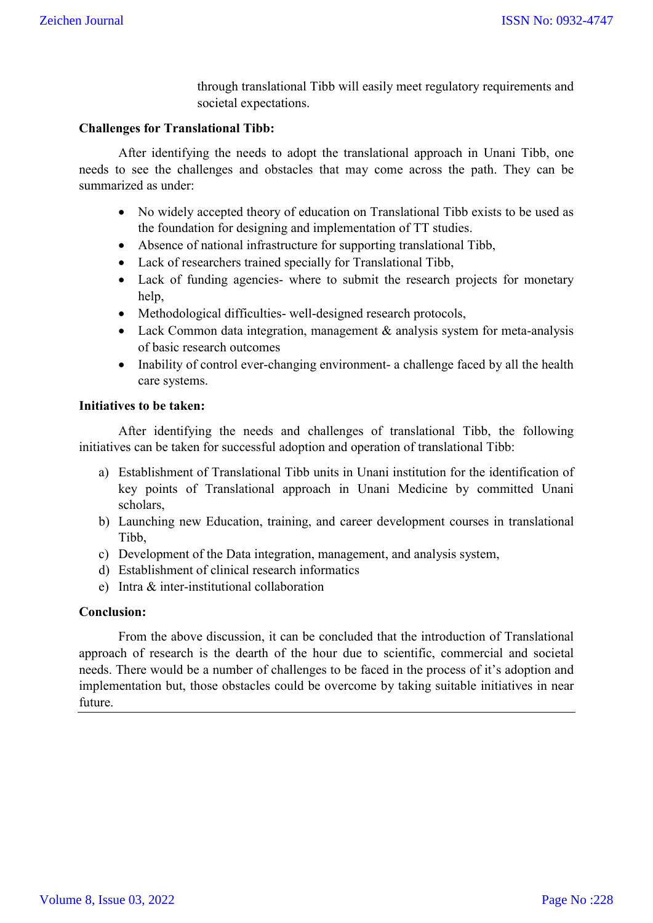through translational Tibb will easily meet regulatory requirements and societal expectations.

### **Challenges for Translational Tibb:**

After identifying the needs to adopt the translational approach in Unani Tibb, one needs to see the challenges and obstacles that may come across the path. They can be summarized as under:

- No widely accepted theory of education on Translational Tibb exists to be used as the foundation for designing and implementation of TT studies.
- Absence of national infrastructure for supporting translational Tibb,
- Lack of researchers trained specially for Translational Tibb,
- Lack of funding agencies- where to submit the research projects for monetary help,
- Methodological difficulties- well-designed research protocols,
- Lack Common data integration, management & analysis system for meta-analysis of basic research outcomes
- Inability of control ever-changing environment- a challenge faced by all the health care systems.

### **Initiatives to be taken:**

After identifying the needs and challenges of translational Tibb, the following initiatives can be taken for successful adoption and operation of translational Tibb:

- a) Establishment of Translational Tibb units in Unani institution for the identification of key points of Translational approach in Unani Medicine by committed Unani scholars,
- b) Launching new Education, training, and career development courses in translational Tibb,
- c) Development of the Data integration, management, and analysis system,
- d) Establishment of clinical research informatics
- e) Intra & inter-institutional collaboration

## **Conclusion:**

From the above discussion, it can be concluded that the introduction of Translational approach of research is the dearth of the hour due to scientific, commercial and societal needs. There would be a number of challenges to be faced in the process of it's adoption and implementation but, those obstacles could be overcome by taking suitable initiatives in near future.